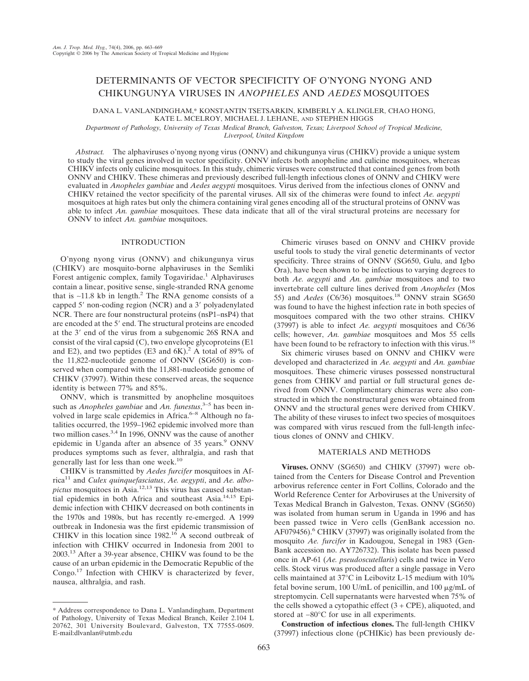# DETERMINANTS OF VECTOR SPECIFICITY OF O'NYONG NYONG AND CHIKUNGUNYA VIRUSES IN *ANOPHELES* AND *AEDES* MOSQUITOES

DANA L. VANLANDINGHAM,\* KONSTANTIN TSETSARKIN, KIMBERLY A. KLINGLER, CHAO HONG, KATE L. MCELROY, MICHAEL J. LEHANE, AND STEPHEN HIGGS

*Department of Pathology, University of Texas Medical Branch, Galveston, Texas; Liverpool School of Tropical Medicine,*

*Liverpool, United Kingdom*

*Abstract.* The alphaviruses o'nyong nyong virus (ONNV) and chikungunya virus (CHIKV) provide a unique system to study the viral genes involved in vector specificity. ONNV infects both anopheline and culicine mosquitoes, whereas CHIKV infects only culicine mosquitoes. In this study, chimeric viruses were constructed that contained genes from both ONNV and CHIKV. These chimeras and previously described full-length infectious clones of ONNV and CHIKV were evaluated in *Anopheles gambiae* and *Aedes aegypti* mosquitoes. Virus derived from the infectious clones of ONNV and CHIKV retained the vector specificity of the parental viruses. All six of the chimeras were found to infect *Ae. aegypti* mosquitoes at high rates but only the chimera containing viral genes encoding all of the structural proteins of ONNV was able to infect *An. gambiae* mosquitoes. These data indicate that all of the viral structural proteins are necessary for ONNV to infect *An. gambiae* mosquitoes.

### INTRODUCTION

O'nyong nyong virus (ONNV) and chikungunya virus (CHIKV) are mosquito-borne alphaviruses in the Semliki Forest antigenic complex, family Togaviridae.<sup>1</sup> Alphaviruses contain a linear, positive sense, single-stranded RNA genome that is ∼11.8 kb in length.2 The RNA genome consists of a capped  $5'$  non-coding region (NCR) and a  $3'$  polyadenylated NCR. There are four nonstructural proteins (nsP1–nsP4) that are encoded at the 5' end. The structural proteins are encoded at the 3' end of the virus from a subgenomic 26S RNA and consist of the viral capsid (C), two envelope glycoproteins (E1 and E2), and two peptides (E3 and  $6K$ ).<sup>2</sup> A total of 89% of the 11,822-nucleotide genome of ONNV (SG650) is conserved when compared with the 11,881-nucleotide genome of CHIKV (37997). Within these conserved areas, the sequence identity is between 77% and 85%.

ONNV, which is transmitted by anopheline mosquitoes such as *Anopheles gambiae* and *An. funestus*, 3–5 has been involved in large scale epidemics in Africa.<sup>6-8</sup> Although no fatalities occurred, the 1959–1962 epidemic involved more than two million cases.<sup>3,4</sup> In 1996, ONNV was the cause of another epidemic in Uganda after an absence of 35 years.<sup>9</sup> ONNV produces symptoms such as fever, althralgia, and rash that generally last for less than one week.<sup>10</sup>

CHIKV is transmitted by *Aedes furcifer* mosquitoes in Africa<sup>11</sup> and *Culex quinquefasciatus*, *Ae. aegypti*, and *Ae. albopictus* mosquitoes in Asia.12,13 This virus has caused substantial epidemics in both Africa and southeast Asia.<sup>14,15</sup> Epidemic infection with CHIKV decreased on both continents in the 1970s and 1980s, but has recently re-emerged. A 1999 outbreak in Indonesia was the first epidemic transmission of CHIKV in this location since  $1982$ .<sup>16</sup> A second outbreak of infection with CHIKV occurred in Indonesia from 2001 to 2003.<sup>13</sup> After a 39-year absence, CHIKV was found to be the cause of an urban epidemic in the Democratic Republic of the Congo.<sup>17</sup> Infection with CHIKV is characterized by fever, nausea, althralgia, and rash.

Chimeric viruses based on ONNV and CHIKV provide useful tools to study the viral genetic determinants of vector specificity. Three strains of ONNV (SG650, Gulu, and Igbo Ora), have been shown to be infectious to varying degrees to both *Ae. aegypti* and *An. gambiae* mosquitoes and to two invertebrate cell culture lines derived from *Anopheles* (Mos 55) and *Aedes* (C6/36) mosquitoes.<sup>18</sup> ONNV strain SG650 was found to have the highest infection rate in both species of mosquitoes compared with the two other strains. CHIKV (37997) is able to infect *Ae. aegypti* mosquitoes and C6/36 cells; however, *An. gambiae* mosquitoes and Mos 55 cells have been found to be refractory to infection with this virus.<sup>18</sup>

Six chimeric viruses based on ONNV and CHIKV were developed and characterized in *Ae. aegypti* and *An. gambiae* mosquitoes. These chimeric viruses possessed nonstructural genes from CHIKV and partial or full structural genes derived from ONNV. Complimentary chimeras were also constructed in which the nonstructural genes were obtained from ONNV and the structural genes were derived from CHIKV. The ability of these viruses to infect two species of mosquitoes was compared with virus rescued from the full-length infectious clones of ONNV and CHIKV.

## MATERIALS AND METHODS

**Viruses.** ONNV (SG650) and CHIKV (37997) were obtained from the Centers for Disease Control and Prevention arbovirus reference center in Fort Collins, Colorado and the World Reference Center for Arboviruses at the University of Texas Medical Branch in Galveston, Texas. ONNV (SG650) was isolated from human serum in Uganda in 1996 and has been passed twice in Vero cells (GenBank accession no. AF079456).<sup>6</sup> CHIKV (37997) was originally isolated from the mosquito *Ae. furcifer* in Kadougou, Senegal in 1983 (Gen-Bank accession no. AY726732). This isolate has been passed once in AP-61 (*Ae. pseudoscutellaris*) cells and twice in Vero cells. Stock virus was produced after a single passage in Vero cells maintained at 37°C in Leibovitz L-15 medium with 10% fetal bovine serum, 100 U/mL of penicillin, and 100  $\mu$ g/mL of streptomycin. Cell supernatants were harvested when 75% of the cells showed a cytopathic effect  $(3 + CPE)$ , aliquoted, and stored at −80°C for use in all experiments.

**Construction of infectious clones.** The full-length CHIKV (37997) infectious clone (pCHIKic) has been previously de-

<sup>\*</sup> Address correspondence to Dana L. Vanlandingham, Department of Pathology, University of Texas Medical Branch, Keiler 2.104 L 20762, 301 University Boulevard, Galveston, TX 77555-0609. E-mail:dlvanlan@utmb.edu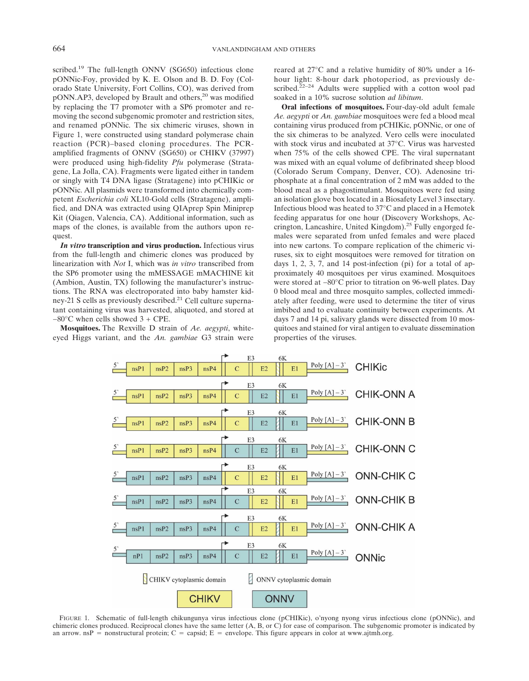scribed.<sup>19</sup> The full-length ONNV (SG650) infectious clone pONNic-Foy, provided by K. E. Olson and B. D. Foy (Colorado State University, Fort Collins, CO), was derived from pONN.AP3, developed by Brault and others,<sup>20</sup> was modified by replacing the T7 promoter with a SP6 promoter and removing the second subgenomic promoter and restriction sites, and renamed pONNic. The six chimeric viruses, shown in Figure 1, were constructed using standard polymerase chain reaction (PCR)–based cloning procedures. The PCRamplified fragments of ONNV (SG650) or CHIKV (37997) were produced using high-fidelity *Pfu* polymerase (Stratagene, La Jolla, CA). Fragments were ligated either in tandem or singly with T4 DNA ligase (Stratagene) into pCHIKic or pONNic. All plasmids were transformed into chemically competent *Escherichia coli* XL10-Gold cells (Stratagene), amplified, and DNA was extracted using QIAprep Spin Miniprep Kit (Qiagen, Valencia, CA). Additional information, such as maps of the clones, is available from the authors upon request.

*In vitro* **transcription and virus production.** Infectious virus from the full-length and chimeric clones was produced by linearization with *Not* I, which was *in vitro* transcribed from the SP6 promoter using the mMESSAGE mMACHINE kit (Ambion, Austin, TX) following the manufacturer's instructions. The RNA was electroporated into baby hamster kidney-21 S cells as previously described.<sup>21</sup> Cell culture supernatant containing virus was harvested, aliquoted, and stored at −80°C when cells showed 3 + CPE.

**Mosquitoes.** The Rexville D strain of *Ae. aegypti*, whiteeyed Higgs variant, and the *An. gambiae* G3 strain were

reared at 27°C and a relative humidity of 80% under a 16 hour light: 8-hour dark photoperiod, as previously described. $22-24$  Adults were supplied with a cotton wool pad soaked in a 10% sucrose solution *ad libitum*.

**Oral infections of mosquitoes.** Four-day-old adult female *Ae. aegypti* or *An. gambiae* mosquitoes were fed a blood meal containing virus produced from pCHIKic, pONNic, or one of the six chimeras to be analyzed. Vero cells were inoculated with stock virus and incubated at 37°C. Virus was harvested when 75% of the cells showed CPE. The viral supernatant was mixed with an equal volume of defibrinated sheep blood (Colorado Serum Company, Denver, CO). Adenosine triphosphate at a final concentration of 2 mM was added to the blood meal as a phagostimulant. Mosquitoes were fed using an isolation glove box located in a Biosafety Level 3 insectary. Infectious blood was heated to 37°C and placed in a Hemotek feeding apparatus for one hour (Discovery Workshops, Accrington, Lancashire, United Kingdom).25 Fully engorged females were separated from unfed females and were placed into new cartons. To compare replication of the chimeric viruses, six to eight mosquitoes were removed for titration on days 1, 2, 3, 7, and 14 post-infection (pi) for a total of approximately 40 mosquitoes per virus examined. Mosquitoes were stored at −80°C prior to titration on 96-well plates. Day 0 blood meal and three mosquito samples, collected immediately after feeding, were used to determine the titer of virus imbibed and to evaluate continuity between experiments. At days 7 and 14 pi, salivary glands were dissected from 10 mosquitoes and stained for viral antigen to evaluate dissemination properties of the viruses.



FIGURE 1. Schematic of full-length chikungunya virus infectious clone (pCHIKic), o'nyong nyong virus infectious clone (pONNic), and chimeric clones produced. Reciprocal clones have the same letter (A, B, or C) for ease of comparison. The subgenomic promoter is indicated by an arrow.  $n s P =$  nonstructural protein;  $C =$  capsid;  $E =$  envelope. This figure appears in color at www.ajtmh.org.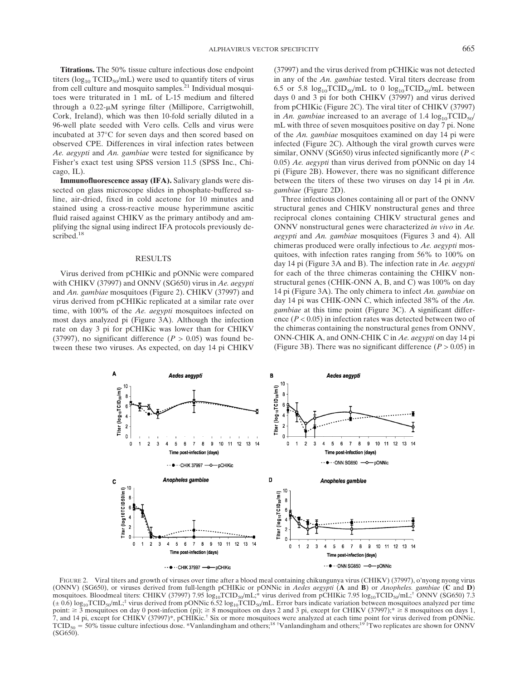**Titrations.** The 50% tissue culture infectious dose endpoint titers ( $log_{10}$  TCID<sub>50</sub>/mL) were used to quantify titers of virus from cell culture and mosquito samples. $^{21}$  Individual mosquitoes were triturated in 1 mL of L-15 medium and filtered through a  $0.22$ - $\mu$ M syringe filter (Millipore, Carrigtwohill, Cork, Ireland), which was then 10-fold serially diluted in a 96-well plate seeded with Vero cells. Cells and virus were incubated at 37°C for seven days and then scored based on observed CPE. Differences in viral infection rates between *Ae. aegypti* and *An. gambiae* were tested for significance by Fisher's exact test using SPSS version 11.5 (SPSS Inc., Chicago, IL).

**Immunofluorescence assay (IFA).** Salivary glands were dissected on glass microscope slides in phosphate-buffered saline, air-dried, fixed in cold acetone for 10 minutes and stained using a cross-reactive mouse hyperimmune ascitic fluid raised against CHIKV as the primary antibody and amplifying the signal using indirect IFA protocols previously described.<sup>18</sup>

#### RESULTS

Virus derived from pCHIKic and pONNic were compared with CHIKV (37997) and ONNV (SG650) virus in *Ae. aegypti* and *An. gambiae* mosquitoes (Figure 2). CHIKV (37997) and virus derived from pCHIKic replicated at a similar rate over time, with 100% of the *Ae. aegypti* mosquitoes infected on most days analyzed pi (Figure 3A). Although the infection rate on day 3 pi for pCHIKic was lower than for CHIKV (37997), no significant difference  $(P > 0.05)$  was found between these two viruses. As expected, on day 14 pi CHIKV

(37997) and the virus derived from pCHIKic was not detected in any of the *An. gambiae* tested. Viral titers decrease from 6.5 or 5.8  $log_{10}TCID_{50}/mL$  to 0  $log_{10}TCID_{50}/mL$  between days 0 and 3 pi for both CHIKV (37997) and virus derived from pCHIKic (Figure 2C). The viral titer of CHIKV (37997) in *An. gambiae* increased to an average of 1.4  $log_{10}TCID_{50}/$ mL with three of seven mosquitoes positive on day 7 pi. None of the *An. gambiae* mosquitoes examined on day 14 pi were infected (Figure 2C). Although the viral growth curves were similar, ONNV (SG650) virus infected significantly more (*P* < 0.05) *Ae. aegypti* than virus derived from pONNic on day 14 pi (Figure 2B). However, there was no significant difference between the titers of these two viruses on day 14 pi in *An. gambiae* (Figure 2D).

Three infectious clones containing all or part of the ONNV structural genes and CHIKV nonstructural genes and three reciprocal clones containing CHIKV structural genes and ONNV nonstructural genes were characterized *in vivo* in *Ae. aegypti* and *An. gambiae* mosquitoes (Figures 3 and 4). All chimeras produced were orally infectious to *Ae. aegypti* mosquitoes, with infection rates ranging from 56% to 100% on day 14 pi (Figure 3A and B). The infection rate in *Ae. aegypti* for each of the three chimeras containing the CHIKV nonstructural genes (CHIK-ONN A, B, and C) was 100% on day 14 pi (Figure 3A). The only chimera to infect *An. gambiae* on day 14 pi was CHIK-ONN C, which infected 38% of the *An. gambiae* at this time point (Figure 3C). A significant difference (*P* < 0.05) in infection rates was detected between two of the chimeras containing the nonstructural genes from ONNV, ONN-CHIK A, and ONN-CHIK C in *Ae. aegypti* on day 14 pi (Figure 3B). There was no significant difference  $(P > 0.05)$  in



FIGURE 2. Viral titers and growth of viruses over time after a blood meal containing chikungunya virus (CHIKV) (37997), o'nyong nyong virus (ONNV) (SG650), or viruses derived from full-length pCHIKic or pONNic in *Aedes aegypti* (**A** and **B**) or *Anopheles. gambiae* (**C** and **D**) mosquitoes. Bloodmeal titers: CHIKV (37997) 7.95  $\log_{10}T CID_{50}/mL$ ;\* virus derived from pCHIKic 7.95  $\log_{10}T CID_{50}/mL$ ;<sup>†</sup> ONNV (SG650) 7.3  $(\pm 0.6)$  log<sub>10</sub>TCID<sub>50</sub>/mL;<sup>‡</sup> virus derived from pONNic 6.52 log<sub>10</sub>TCID<sub>50</sub>/mL. Error bars indicate variation between mosquitoes analyzed per time point:  $\geq$  3 mosquitoes on day 0 post-infection (pi);  $\geq$  8 mosquitoes on days 2 and 3 pi, except for CHIKV (37997);<sup>\*</sup>  $\geq$  8 mosquitoes on days 1, 7, and 14 pi, except for CHIKV (37997)\*, pCHIKic.† Six or more mosquitoes were analyzed at each time point for virus derived from pONNic. TCID<sub>50</sub> = 50% tissue culture infectious dose. \*Vanlandingham and others;<sup>18</sup> †Vanlandingham and others;<sup>19†</sup>Two replicates are shown for ONNV (SG650).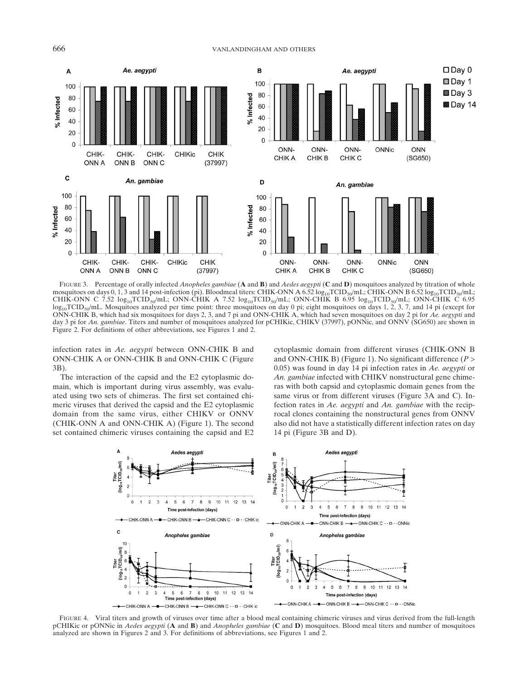

FIGURE 3. Percentage of orally infected *Anopheles gambiae* (**A** and **B**) and *Aedes aegypti* (**C** and **D**) mosquitoes analyzed by titration of whole mosquitoes on days 0, 1, 3 and 14 post-infection (pi). Bloodmeal titers: CHIK-ONN A 6.52  $log_{10}TCID_{50}/mL$ ; CHIK-ONN B 6.52  $log_{10}TCID_{50}/mL$ ; CHIK-ONN C 7.52  $log_{10}TCID_{50}/mL$ ; ONN-CHIK A 7.52  $log_{10}TCID_{50}/mL$ ; ONN-CHIK B 6.95  $log_{10}TCID_{50}/mL$ ; ONN-CHIK C 6.95  $log_{10}TCID_{50}/mL$ . Mosquitoes analyzed per time point: three mosquitoes on day 0 pi; eight mosquitoes on days 1, 2, 3, 7, and 14 pi (except for ONN-CHIK B, which had six mosquitoes for days 2, 3, and 7 pi and ONN-CHIK A, which had seven mosquitoes on day 2 pi for *Ae. aegypti* and day 3 pi for *An. gambiae*. Titers and number of mosquitoes analyzed for pCHIKic, CHIKV (37997), pONNic, and ONNV (SG650) are shown in Figure 2. For definitions of other abbreviations, see Figures 1 and 2.

infection rates in *Ae. aegypti* between ONN-CHIK B and ONN-CHIK A or ONN-CHIK B and ONN-CHIK C (Figure 3B).

The interaction of the capsid and the E2 cytoplasmic domain, which is important during virus assembly, was evaluated using two sets of chimeras. The first set contained chimeric viruses that derived the capsid and the E2 cytoplasmic domain from the same virus, either CHIKV or ONNV (CHIK-ONN A and ONN-CHIK A) (Figure 1). The second set contained chimeric viruses containing the capsid and E2 cytoplasmic domain from different viruses (CHIK-ONN B and ONN-CHIK B) (Figure 1). No significant difference (*P* > 0.05) was found in day 14 pi infection rates in *Ae. aegypti* or *An. gambiae* infected with CHIKV nonstructural gene chimeras with both capsid and cytoplasmic domain genes from the same virus or from different viruses (Figure 3A and C). Infection rates in *Ae. aegypti* and *An. gambiae* with the reciprocal clones containing the nonstructural genes from ONNV also did not have a statistically different infection rates on day 14 pi (Figure 3B and D).



FIGURE 4. Viral titers and growth of viruses over time after a blood meal containing chimeric viruses and virus derived from the full-length pCHIKic or pONNic in *Aedes aegypti* (**A** and **B**) and *Anopheles gambiae* (**C** and **D**) mosquitoes. Blood meal titers and number of mosquitoes analyzed are shown in Figures 2 and 3. For definitions of abbreviations, see Figures 1 and 2.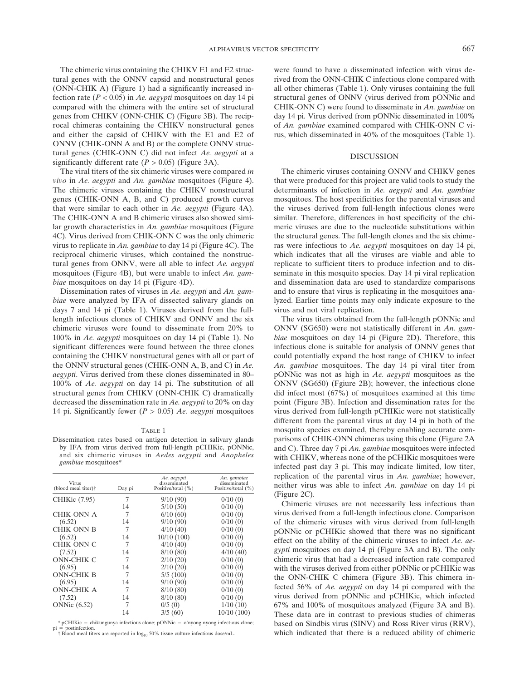The chimeric virus containing the CHIKV E1 and E2 structural genes with the ONNV capsid and nonstructural genes (ONN-CHIK A) (Figure 1) had a significantly increased infection rate (*P* < 0.05) in *Ae. aegypti* mosquitoes on day 14 pi compared with the chimera with the entire set of structural genes from CHIKV (ONN-CHIK C) (Figure 3B). The reciprocal chimeras containing the CHIKV nonstructural genes and either the capsid of CHIKV with the E1 and E2 of ONNV (CHIK-ONN A and B) or the complete ONNV structural genes (CHIK-ONN C) did not infect *Ae. aegypti* at a significantly different rate  $(P > 0.05)$  (Figure 3A).

The viral titers of the six chimeric viruses were compared *in vivo* in *Ae. aegypti* and *An. gambiae* mosquitoes (Figure 4). The chimeric viruses containing the CHIKV nonstructural genes (CHIK-ONN A, B, and C) produced growth curves that were similar to each other in *Ae. aegypti* (Figure 4A). The CHIK-ONN A and B chimeric viruses also showed similar growth characteristics in *An. gambiae* mosquitoes (Figure 4C). Virus derived from CHIK-ONN C was the only chimeric virus to replicate in *An. gambiae* to day 14 pi (Figure 4C). The reciprocal chimeric viruses, which contained the nonstructural genes from ONNV, were all able to infect *Ae. aegypti* mosquitoes (Figure 4B), but were unable to infect *An. gambiae* mosquitoes on day 14 pi (Figure 4D).

Dissemination rates of viruses in *Ae. aegypti* and *An. gambiae* were analyzed by IFA of dissected salivary glands on days 7 and 14 pi (Table 1). Viruses derived from the fulllength infectious clones of CHIKV and ONNV and the six chimeric viruses were found to disseminate from 20% to 100% in *Ae. aegypti* mosquitoes on day 14 pi (Table 1). No significant differences were found between the three clones containing the CHIKV nonstructural genes with all or part of the ONNV structural genes (CHIK-ONN A, B, and C) in *Ae. aegypti*. Virus derived from these clones disseminated in 80– 100% of *Ae. aegypti* on day 14 pi. The substitution of all structural genes from CHIKV (ONN-CHIK C) dramatically decreased the dissemination rate in *Ae. aegypti* to 20% on day 14 pi. Significantly fewer (*P* > 0.05) *Ae. aegypti* mosquitoes

#### TABLE 1

Dissemination rates based on antigen detection in salivary glands by IFA from virus derived from full-length pCHIKic, pONNic, and six chimeric viruses in *Aedes aegypti* and *Anopheles gambiae* mosquitoes\*

| <b>Virus</b><br>(blood meal titer)† | Day pi | Ae. aegypti<br>disseminated<br>Positive/total (%) | An. gambiae<br>disseminated<br>Positive/total (%) |
|-------------------------------------|--------|---------------------------------------------------|---------------------------------------------------|
| CHIKic (7.95)                       | 7      | 9/10(90)                                          | 0/10(0)                                           |
|                                     | 14     | 5/10(50)                                          | 0/10(0)                                           |
| <b>CHIK-ONN A</b>                   | 7      | 6/10(60)                                          | 0/10(0)                                           |
| (6.52)                              | 14     | 9/10(90)                                          | 0/10(0)                                           |
| <b>CHIK-ONN B</b>                   | 7      | 4/10(40)                                          | 0/10(0)                                           |
| (6.52)                              | 14     | 10/10(100)                                        | 0/10(0)                                           |
| CHIK-ONN C                          | 7      | 4/10(40)                                          | 0/10(0)                                           |
| (7.52)                              | 14     | 8/10(80)                                          | 4/10(40)                                          |
| <b>ONN-CHIK C</b>                   | 7      | 2/10(20)                                          | 0/10(0)                                           |
| (6.95)                              | 14     | 2/10(20)                                          | 0/10(0)                                           |
| <b>ONN-CHIK B</b>                   | 7      | 5/5(100)                                          | 0/10(0)                                           |
| (6.95)                              | 14     | 9/10(90)                                          | 0/10(0)                                           |
| <b>ONN-CHIK A</b>                   | 7      | 8/10(80)                                          | 0/10(0)                                           |
| (7.52)                              | 14     | 8/10(80)                                          | 0/10(0)                                           |
| <b>ONNic</b> (6.52)                 | 7      | 0/5(0)                                            | 1/10(10)                                          |
|                                     | 14     | 3/5(60)                                           | 10/10 (100)                                       |

 $*$  pCHIKic = chikungunya infectious clone; pONNic = o'nyong nyong infectious clone; postinfection.

pi = postinfection.<br>† Blood meal titers are reported in  $log_{10} 50\%$  tissue culture infectious dose/mL.

were found to have a disseminated infection with virus derived from the ONN-CHIK C infectious clone compared with all other chimeras (Table 1). Only viruses containing the full structural genes of ONNV (virus derived from pONNic and CHIK-ONN C) were found to disseminate in *An. gambiae* on day 14 pi. Virus derived from pONNic disseminated in 100% of *An. gambiae* examined compared with CHIK-ONN C virus, which disseminated in 40% of the mosquitoes (Table 1).

#### DISCUSSION

The chimeric viruses containing ONNV and CHIKV genes that were produced for this project are valid tools to study the determinants of infection in *Ae. aegypti* and *An. gambiae* mosquitoes. The host specificities for the parental viruses and the viruses derived from full-length infectious clones were similar. Therefore, differences in host specificity of the chimeric viruses are due to the nucleotide substitutions within the structural genes. The full-length clones and the six chimeras were infectious to *Ae. aegypti* mosquitoes on day 14 pi, which indicates that all the viruses are viable and able to replicate to sufficient titers to produce infection and to disseminate in this mosquito species. Day 14 pi viral replication and dissemination data are used to standardize comparisons and to ensure that virus is replicating in the mosquitoes analyzed. Earlier time points may only indicate exposure to the virus and not viral replication.

The virus titers obtained from the full-length pONNic and ONNV (SG650) were not statistically different in *An. gambiae* mosquitoes on day 14 pi (Figure 2D). Therefore, this infectious clone is suitable for analysis of ONNV genes that could potentially expand the host range of CHIKV to infect *An. gambiae* mosquitoes. The day 14 pi viral titer from pONNic was not as high in *Ae. aegypti* mosquitoes as the ONNV (SG650) (Fgiure 2B); however, the infectious clone did infect most (67%) of mosquitoes examined at this time point (Figure 3B). Infection and dissemination rates for the virus derived from full-length pCHIKic were not statistically different from the parental virus at day 14 pi in both of the mosquito species examined, thereby enabling accurate comparisons of CHIK-ONN chimeras using this clone (Figure 2A and C). Three day 7 pi *An. gambiae* mosquitoes were infected with CHIKV, whereas none of the pCHIKic mosquitoes were infected past day 3 pi. This may indicate limited, low titer, replication of the parental virus in *An. gambiae*; however, neither virus was able to infect *An. gambiae* on day 14 pi (Figure 2C).

Chimeric viruses are not necessarily less infectious than virus derived from a full-length infectious clone. Comparison of the chimeric viruses with virus derived from full-length pONNic or pCHIKic showed that there was no significant effect on the ability of the chimeric viruses to infect *Ae. aegypti* mosquitoes on day 14 pi (Figure 3A and B). The only chimeric virus that had a decreased infection rate compared with the viruses derived from either pONNic or pCHIKic was the ONN-CHIK C chimera (Figure 3B). This chimera infected 56% of *Ae. aegypti* on day 14 pi compared with the virus derived from pONNic and pCHIKic, which infected 67% and 100% of mosquitoes analyzed (Figure 3A and B). These data are in contrast to previous studies of chimeras based on Sindbis virus (SINV) and Ross River virus (RRV), which indicated that there is a reduced ability of chimeric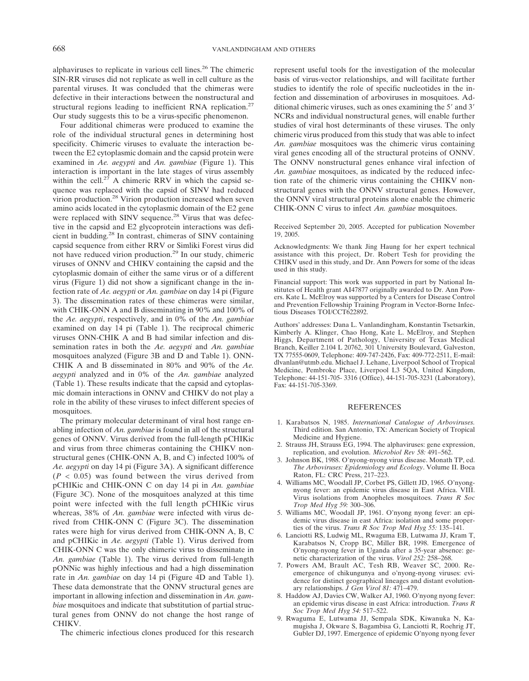alphaviruses to replicate in various cell lines.26 The chimeric SIN-RR viruses did not replicate as well in cell culture as the parental viruses. It was concluded that the chimeras were defective in their interactions between the nonstructural and structural regions leading to inefficient RNA replication.<sup>27</sup> Our study suggests this to be a virus-specific phenomenon.

Four additional chimeras were produced to examine the role of the individual structural genes in determining host specificity. Chimeric viruses to evaluate the interaction between the E2 cytoplasmic domain and the capsid protein were examined in *Ae. aegypti* and *An. gambiae* (Figure 1). This interaction is important in the late stages of virus assembly within the cell.<sup>27</sup> A chimeric RRV in which the capsid sequence was replaced with the capsid of SINV had reduced virion production.28 Virion production increased when seven amino acids located in the cytoplasmic domain of the E2 gene were replaced with SINV sequence.<sup>28</sup> Virus that was defective in the capsid and E2 glycoprotein interactions was deficient in budding.28 In contrast, chimeras of SINV containing capsid sequence from either RRV or Simliki Forest virus did not have reduced virion production.29 In our study, chimeric viruses of ONNV and CHIKV containing the capsid and the cytoplasmic domain of either the same virus or of a different virus (Figure 1) did not show a significant change in the infection rate of *Ae. aegypti* or *An. gambiae* on day 14 pi (Figure 3). The dissemination rates of these chimeras were similar, with CHIK-ONN A and B disseminating in 90% and 100% of the *Ae. aegypti*, respectively, and in 0% of the *An. gambiae* examined on day 14 pi (Table 1). The reciprocal chimeric viruses ONN-CHIK A and B had similar infection and dissemination rates in both the *Ae. aegypti* and *An. gambiae* mosquitoes analyzed (Figure 3B and D and Table 1). ONN-CHIK A and B disseminated in 80% and 90% of the *Ae. aegypti* analyzed and in 0% of the *An. gambiae* analyzed (Table 1). These results indicate that the capsid and cytoplasmic domain interactions in ONNV and CHIKV do not play a role in the ability of these viruses to infect different species of mosquitoes.

The primary molecular determinant of viral host range enabling infection of *An. gambiae* is found in all of the structural genes of ONNV. Virus derived from the full-length pCHIKic and virus from three chimeras containing the CHIKV nonstructural genes (CHIK-ONN A, B, and C) infected 100% of *Ae. aegypti* on day 14 pi (Figure 3A). A significant difference  $(P < 0.05)$  was found between the virus derived from pCHIKic and CHIK-ONN C on day 14 pi in *An. gambiae* (Figure 3C). None of the mosquitoes analyzed at this time point were infected with the full length pCHIKic virus whereas, 38% of *An. gambiae* were infected with virus derived from CHIK-ONN C (Figure 3C). The dissemination rates were high for virus derived from CHIK-ONN A, B, C and pCHIKic in *Ae. aegypti* (Table 1). Virus derived from CHIK-ONN C was the only chimeric virus to disseminate in *An. gambiae* (Table 1). The virus derived from full-length pONNic was highly infectious and had a high dissemination rate in *An. gambiae* on day 14 pi (Figure 4D and Table 1). These data demonstrate that the ONNV structural genes are important in allowing infection and dissemination in *An. gambiae* mosquitoes and indicate that substitution of partial structural genes from ONNV do not change the host range of CHIKV.

The chimeric infectious clones produced for this research

represent useful tools for the investigation of the molecular basis of virus-vector relationships, and will facilitate further studies to identify the role of specific nucleotides in the infection and dissemination of arboviruses in mosquitoes. Additional chimeric viruses, such as ones examining the  $5'$  and  $3'$ NCRs and individual nonstructural genes, will enable further studies of viral host determinants of these viruses. The only chimeric virus produced from this study that was able to infect *An. gambiae* mosquitoes was the chimeric virus containing viral genes encoding all of the structural proteins of ONNV. The ONNV nonstructural genes enhance viral infection of *An. gambiae* mosquitoes, as indicated by the reduced infection rate of the chimeric virus containing the CHIKV nonstructural genes with the ONNV structural genes. However, the ONNV viral structural proteins alone enable the chimeric CHIK-ONN C virus to infect *An. gambiae* mosquitoes.

Received September 20, 2005. Accepted for publication November 19, 2005.

Acknowledgments: We thank Jing Haung for her expert technical assistance with this project, Dr. Robert Tesh for providing the CHIKV used in this study, and Dr. Ann Powers for some of the ideas used in this study.

Financial support: This work was supported in part by National Institutes of Health grant AI47877 originally awarded to Dr. Ann Powers. Kate L. McElroy was supported by a Centers for Disease Control and Prevention Fellowship Training Program in Vector-Borne Infectious Diseases TOI/CCT622892.

Authors' addresses: Dana L. Vanlandingham, Konstantin Tsetsarkin, Kimberly A. Klinger, Chao Hong, Kate L. McElroy, and Stephen Higgs, Department of Pathology, University of Texas Medical Branch, Keiller 2.104 L 20762, 301 University Boulevard, Galveston, TX 77555-0609, Telephone: 409-747-2426, Fax: 409-772-2511, E-mail: dlvanlan@utmb.edu. Michael J. Lehane, Liverpool School of Tropical Medicine, Pembroke Place, Liverpool L3 5QA, United Kingdom, Telephone: 44-151-705- 3316 (Office), 44-151-705-3231 (Laboratory), Fax: 44-151-705-3369.

#### **REFERENCES**

- 1. Karabatsos N, 1985. *International Catalogue of Arboviruses.* Third edition. San Antonio, TX: American Society of Tropical Medicine and Hygiene.
- 2. Strauss JH, Strauss EG, 1994. The alphaviruses: gene expression, replication, and evolution. *Microbiol Rev 58:* 491–562.
- 3. Johnson BK, 1988. O'nyong-nyong virus disease. Monath TP, ed. *The Arboviruses: Epidemiology and Ecology*. Volume II. Boca Raton, FL: CRC Press, 217–223.
- 4. Williams MC, Woodall JP, Corbet PS, Gillett JD, 1965. O'nyongnyong fever: an epidemic virus disease in East Africa. VIII. Virus isolations from Anopheles mosquitoes. *Trans R Soc Trop Med Hyg 59:* 300–306.
- 5. Williams MC, Woodall JP, 1961. O'nyong nyong fever: an epidemic virus disease in east Africa: isolation and some properties of the virus. *Trans R Soc Trop Med Hyg 55:* 135–141.
- 6. Lanciotti RS, Ludwig ML, Rwaguma EB, Lutwama JJ, Kram T, Karabatsos N, Cropp BC, Miller BR, 1998. Emergence of O'nyong-nyong fever in Uganda after a 35-year absence: genetic characterization of the virus. *Virol 252:* 258–268.
- 7. Powers AM, Brault AC, Tesh RB, Weaver SC, 2000. Reemergence of chikungunya and o'nyong-nyong viruses: evidence for distinct geographical lineages and distant evolutionary relationships. *J Gen Virol 81:* 471–479.
- 8. Haddow AJ, Davies CW, Walker AJ, 1960. O'nyong nyong fever: an epidemic virus disease in east Africa: introduction. *Trans R Soc Trop Med Hyg 54:* 517–522.
- 9. Rwaguma E, Lutwama JJ, Sempala SDK, Kiwanuka N, Kamugisha J, Okware S, Bagambisa G, Lanciotti R, Roehrig JT, Gubler DJ, 1997. Emergence of epidemic O'nyong nyong fever